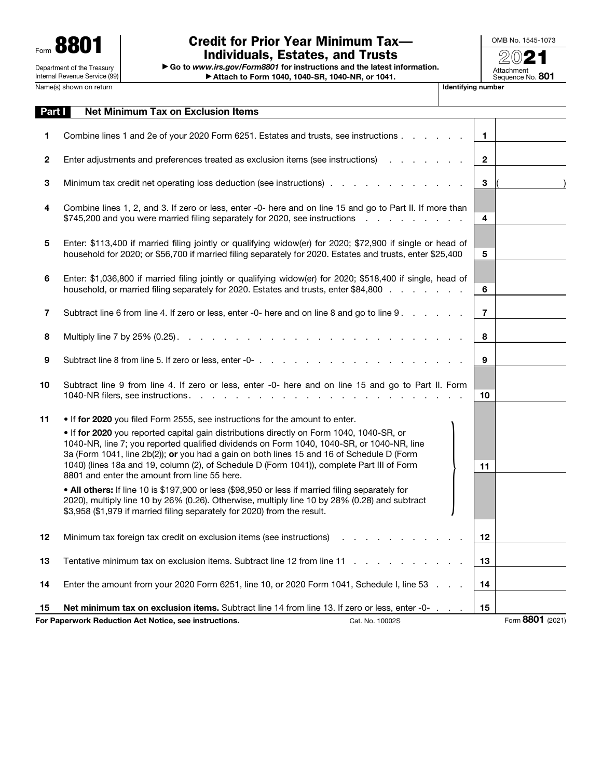| 8801<br>Form                                                |  |  |  |
|-------------------------------------------------------------|--|--|--|
| Department of the Treasury<br>Internal Revenue Service (99) |  |  |  |
|                                                             |  |  |  |

## Credit for Prior Year Minimum Tax— Individuals, Estates, and Trusts

▶ Go to *www.irs.gov/Form8801* for instructions and the latest information. ▶ Attach to Form 1040, 1040-SR, 1040-NR, or 1041.

OMB No. 1545-1073 20 Attachment<br>Sequence No. **801** 

**Name of Talentifying number** 

| Part I       | <b>Net Minimum Tax on Exclusion Items</b>                                                                                                                                                                                                                                          |                         |                  |
|--------------|------------------------------------------------------------------------------------------------------------------------------------------------------------------------------------------------------------------------------------------------------------------------------------|-------------------------|------------------|
| 1            | Combine lines 1 and 2e of your 2020 Form 6251. Estates and trusts, see instructions                                                                                                                                                                                                | $\mathbf{1}$            |                  |
| $\mathbf{2}$ |                                                                                                                                                                                                                                                                                    | $\overline{2}$          |                  |
| 3            | Minimum tax credit net operating loss deduction (see instructions)                                                                                                                                                                                                                 | 3                       |                  |
| 4            | Combine lines 1, 2, and 3. If zero or less, enter -0- here and on line 15 and go to Part II. If more than<br>\$745,200 and you were married filing separately for 2020, see instructions                                                                                           | $\overline{\mathbf{4}}$ |                  |
| 5            | Enter: \$113,400 if married filing jointly or qualifying widow(er) for 2020; \$72,900 if single or head of<br>household for 2020; or \$56,700 if married filing separately for 2020. Estates and trusts, enter \$25,400                                                            | 5                       |                  |
| 6            | Enter: \$1,036,800 if married filing jointly or qualifying widow(er) for 2020; \$518,400 if single, head of<br>household, or married filing separately for 2020. Estates and trusts, enter \$84,800                                                                                | 6                       |                  |
| 7            | Subtract line 6 from line 4. If zero or less, enter -0- here and on line 8 and go to line 9.                                                                                                                                                                                       | $\overline{7}$          |                  |
| 8            | Multiply line 7 by 25% (0.25). $\ldots$ $\ldots$ $\ldots$ $\ldots$ $\ldots$ $\ldots$ $\ldots$ $\ldots$ $\ldots$ $\ldots$                                                                                                                                                           | 8                       |                  |
| 9            |                                                                                                                                                                                                                                                                                    | 9                       |                  |
| 10           | Subtract line 9 from line 4. If zero or less, enter -0- here and on line 15 and go to Part II. Form<br>1040-NR filers, see instructions.                                                                                                                                           | 10                      |                  |
| 11           | • If for 2020 you filed Form 2555, see instructions for the amount to enter.                                                                                                                                                                                                       |                         |                  |
|              | . If for 2020 you reported capital gain distributions directly on Form 1040, 1040-SR, or<br>1040-NR, line 7; you reported qualified dividends on Form 1040, 1040-SR, or 1040-NR, line<br>3a (Form 1041, line 2b(2)); or you had a gain on both lines 15 and 16 of Schedule D (Form |                         |                  |
|              | 1040) (lines 18a and 19, column (2), of Schedule D (Form 1041)), complete Part III of Form<br>8801 and enter the amount from line 55 here.                                                                                                                                         | 11                      |                  |
|              | • All others: If line 10 is \$197,900 or less (\$98,950 or less if married filing separately for<br>2020), multiply line 10 by 26% (0.26). Otherwise, multiply line 10 by 28% (0.28) and subtract<br>\$3,958 (\$1,979 if married filing separately for 2020) from the result.      |                         |                  |
| 12           | Minimum tax foreign tax credit on exclusion items (see instructions)                                                                                                                                                                                                               | 12 <sup>2</sup>         |                  |
| 13           | Tentative minimum tax on exclusion items. Subtract line 12 from line 11                                                                                                                                                                                                            | 13                      |                  |
| 14           | Enter the amount from your 2020 Form 6251, line 10, or 2020 Form 1041, Schedule I, line 53                                                                                                                                                                                         | 14                      |                  |
| 15           | <b>Net minimum tax on exclusion items.</b> Subtract line 14 from line 13. If zero or less, enter -0-                                                                                                                                                                               | 15                      |                  |
|              | For Paperwork Reduction Act Notice, see instructions.<br>Cat. No. 10002S                                                                                                                                                                                                           |                         | Form 8801 (2021) |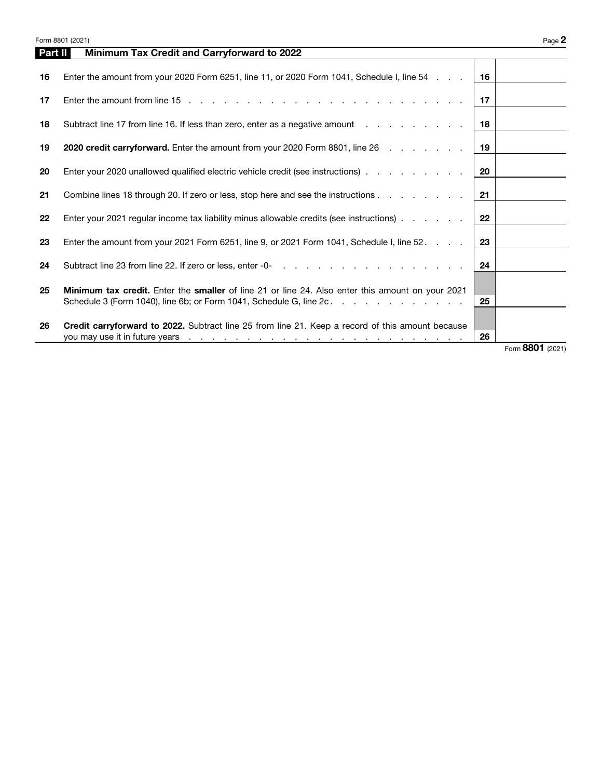|         | Form 8801 (2021)                                                                                                                                                                                                                             |    | Page 2           |
|---------|----------------------------------------------------------------------------------------------------------------------------------------------------------------------------------------------------------------------------------------------|----|------------------|
| Part II | Minimum Tax Credit and Carryforward to 2022                                                                                                                                                                                                  |    |                  |
| 16      | Enter the amount from your 2020 Form 6251, line 11, or 2020 Form 1041, Schedule I, line 54                                                                                                                                                   | 16 |                  |
| 17      |                                                                                                                                                                                                                                              | 17 |                  |
| 18      | Subtract line 17 from line 16. If less than zero, enter as a negative amount                                                                                                                                                                 | 18 |                  |
| 19      | <b>2020 credit carryforward.</b> Enter the amount from your 2020 Form 8801, line 26 mass and carryforward.                                                                                                                                   | 19 |                  |
| 20      | Enter your 2020 unallowed qualified electric vehicle credit (see instructions)                                                                                                                                                               | 20 |                  |
| 21      | Combine lines 18 through 20. If zero or less, stop here and see the instructions                                                                                                                                                             | 21 |                  |
| 22      | Enter your 2021 regular income tax liability minus allowable credits (see instructions)                                                                                                                                                      | 22 |                  |
| 23      | Enter the amount from your 2021 Form 6251, line 9, or 2021 Form 1041, Schedule I, line 52.                                                                                                                                                   | 23 |                  |
| 24      |                                                                                                                                                                                                                                              | 24 |                  |
| 25      | <b>Minimum tax credit.</b> Enter the smaller of line 21 or line 24. Also enter this amount on your 2021<br>Schedule 3 (Form 1040), line 6b; or Form 1041, Schedule G, line 2c.                                                               | 25 |                  |
| 26      | <b>Credit carryforward to 2022.</b> Subtract line 25 from line 21. Keep a record of this amount because<br>you may use it in future years<br>the contract of the contract of the contract of the contract of the contract of the contract of | 26 |                  |
|         |                                                                                                                                                                                                                                              |    | Form 8801 (2021) |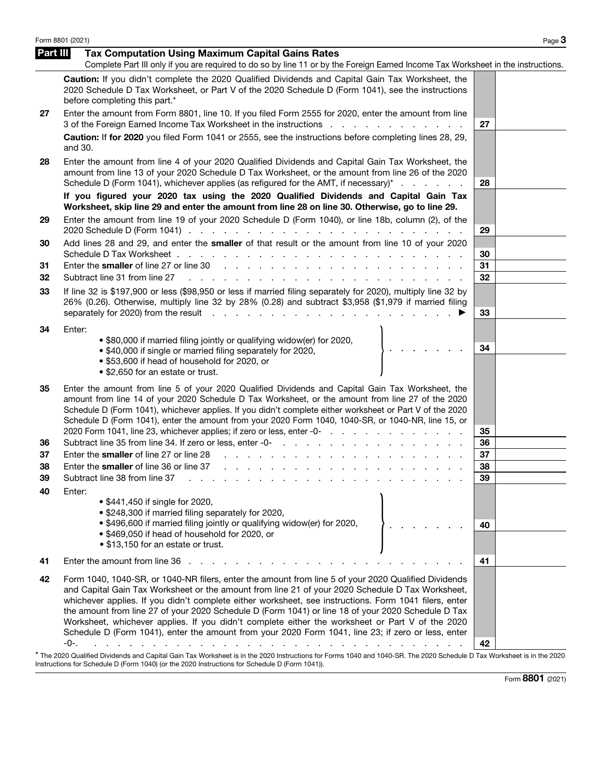|          | Form 8801 (2021)                                                                                                                                                                                                                                                                                                                                                                                                                                                                                                                                                                                                                         |          | Page 3 |
|----------|------------------------------------------------------------------------------------------------------------------------------------------------------------------------------------------------------------------------------------------------------------------------------------------------------------------------------------------------------------------------------------------------------------------------------------------------------------------------------------------------------------------------------------------------------------------------------------------------------------------------------------------|----------|--------|
| Part III | <b>Tax Computation Using Maximum Capital Gains Rates</b><br>Complete Part III only if you are required to do so by line 11 or by the Foreign Earned Income Tax Worksheet in the instructions.                                                                                                                                                                                                                                                                                                                                                                                                                                            |          |        |
|          | Caution: If you didn't complete the 2020 Qualified Dividends and Capital Gain Tax Worksheet, the<br>2020 Schedule D Tax Worksheet, or Part V of the 2020 Schedule D (Form 1041), see the instructions<br>before completing this part.*                                                                                                                                                                                                                                                                                                                                                                                                   |          |        |
| 27       | Enter the amount from Form 8801, line 10. If you filed Form 2555 for 2020, enter the amount from line<br>3 of the Foreign Earned Income Tax Worksheet in the instructions                                                                                                                                                                                                                                                                                                                                                                                                                                                                | 27       |        |
|          | Caution: If for 2020 you filed Form 1041 or 2555, see the instructions before completing lines 28, 29,<br>and 30.                                                                                                                                                                                                                                                                                                                                                                                                                                                                                                                        |          |        |
| 28       | Enter the amount from line 4 of your 2020 Qualified Dividends and Capital Gain Tax Worksheet, the<br>amount from line 13 of your 2020 Schedule D Tax Worksheet, or the amount from line 26 of the 2020<br>Schedule D (Form 1041), whichever applies (as refigured for the AMT, if necessary) <sup>*</sup>                                                                                                                                                                                                                                                                                                                                | 28       |        |
|          | If you figured your 2020 tax using the 2020 Qualified Dividends and Capital Gain Tax<br>Worksheet, skip line 29 and enter the amount from line 28 on line 30. Otherwise, go to line 29.                                                                                                                                                                                                                                                                                                                                                                                                                                                  |          |        |
| 29       | Enter the amount from line 19 of your 2020 Schedule D (Form 1040), or line 18b, column (2), of the                                                                                                                                                                                                                                                                                                                                                                                                                                                                                                                                       | 29       |        |
| 30       | Add lines 28 and 29, and enter the smaller of that result or the amount from line 10 of your 2020                                                                                                                                                                                                                                                                                                                                                                                                                                                                                                                                        | 30       |        |
| 31<br>32 | Subtract line 31 from line 27<br><u>. A shekarar a shekara ta 1999 na shekara ta 1999 na shekara ta 1999 na shekara ta 1999 na shekara ta 1999 na shekara ta 1999 na shekara ta 1999 na shekara ta 1999 na shekara ta 1999 na shekara ta 1999 na shekara ta 1999 </u>                                                                                                                                                                                                                                                                                                                                                                    | 31<br>32 |        |
| 33       | If line 32 is \$197,900 or less (\$98,950 or less if married filing separately for 2020), multiply line 32 by<br>26% (0.26). Otherwise, multiply line 32 by 28% (0.28) and subtract \$3,958 (\$1,979 if married filing                                                                                                                                                                                                                                                                                                                                                                                                                   | 33       |        |
| 34       | Enter:<br>. \$80,000 if married filing jointly or qualifying widow(er) for 2020,<br>• \$40,000 if single or married filing separately for 2020,<br>• \$53,600 if head of household for 2020, or<br>• \$2,650 for an estate or trust.                                                                                                                                                                                                                                                                                                                                                                                                     | 34       |        |
| 35       | Enter the amount from line 5 of your 2020 Qualified Dividends and Capital Gain Tax Worksheet, the<br>amount from line 14 of your 2020 Schedule D Tax Worksheet, or the amount from line 27 of the 2020<br>Schedule D (Form 1041), whichever applies. If you didn't complete either worksheet or Part V of the 2020<br>Schedule D (Form 1041), enter the amount from your 2020 Form 1040, 1040-SR, or 1040-NR, line 15, or<br>2020 Form 1041, line 23, whichever applies; if zero or less, enter -0-                                                                                                                                      | 35       |        |
| 36       |                                                                                                                                                                                                                                                                                                                                                                                                                                                                                                                                                                                                                                          | 36       |        |
| 37       | Enter the smaller of line 27 or line 28 rates. All the smaller of line 28 rates and all the smaller of line 28 rates and all the smaller of line 28 rates.                                                                                                                                                                                                                                                                                                                                                                                                                                                                               | 37       |        |
| 38       |                                                                                                                                                                                                                                                                                                                                                                                                                                                                                                                                                                                                                                          | 38       |        |
| 39       | Subtract line 38 from line 37                                                                                                                                                                                                                                                                                                                                                                                                                                                                                                                                                                                                            | 39       |        |
| 40       | Enter:<br>• \$441,450 if single for 2020,<br>• \$248,300 if married filing separately for 2020,                                                                                                                                                                                                                                                                                                                                                                                                                                                                                                                                          |          |        |
|          | • \$496,600 if married filing jointly or qualifying widow(er) for 2020,<br>• \$469,050 if head of household for 2020, or<br>• \$13,150 for an estate or trust.                                                                                                                                                                                                                                                                                                                                                                                                                                                                           | 40       |        |
| 41       | Enter the amount from line 36.                                                                                                                                                                                                                                                                                                                                                                                                                                                                                                                                                                                                           | 41       |        |
| 42       | Form 1040, 1040-SR, or 1040-NR filers, enter the amount from line 5 of your 2020 Qualified Dividends<br>and Capital Gain Tax Worksheet or the amount from line 21 of your 2020 Schedule D Tax Worksheet,<br>whichever applies. If you didn't complete either worksheet, see instructions. Form 1041 filers, enter<br>the amount from line 27 of your 2020 Schedule D (Form 1041) or line 18 of your 2020 Schedule D Tax<br>Worksheet, whichever applies. If you didn't complete either the worksheet or Part V of the 2020<br>Schedule D (Form 1041), enter the amount from your 2020 Form 1041, line 23; if zero or less, enter<br>-0-. | 42       |        |
|          | dends and Capital Gain Tax Warksheet is in the 2020 Instructions for Forms 1040 and 1040 SP. The 2020 Schoolule D. Tax Warksheet is in th                                                                                                                                                                                                                                                                                                                                                                                                                                                                                                |          |        |

\* The 2020 Qualified Dividends and Capital Gain Tax Worksheet is in the 2020 Instructions for Forms 1040 and 1040-SR. The 2020 Schedule D Tax Worksheet is in the 2020<br>Instructions for Schedule D (Form 1040) (or the 2020 In

Form 8801 (2021)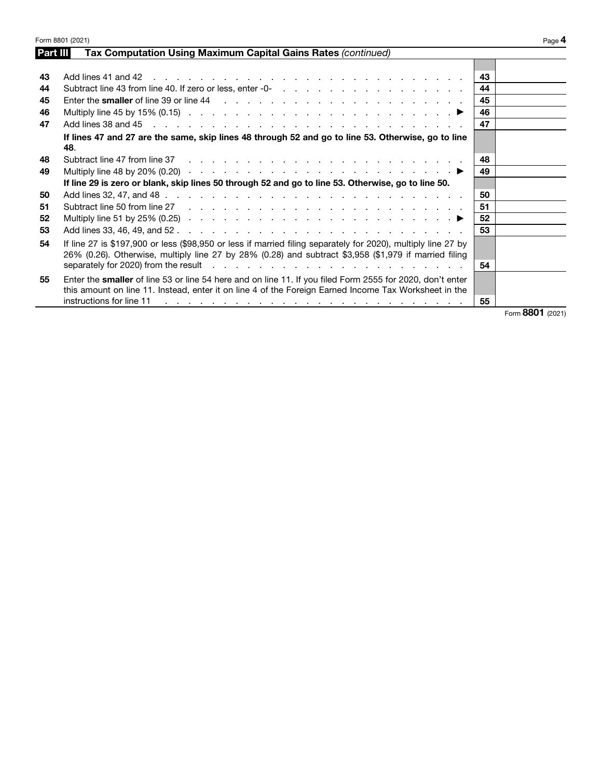|          | Form 8801 (2021)                                                                                                                                                                                                                                                                                                                                                   |    | Page 4 |
|----------|--------------------------------------------------------------------------------------------------------------------------------------------------------------------------------------------------------------------------------------------------------------------------------------------------------------------------------------------------------------------|----|--------|
| Part III | Tax Computation Using Maximum Capital Gains Rates (continued)                                                                                                                                                                                                                                                                                                      |    |        |
|          |                                                                                                                                                                                                                                                                                                                                                                    |    |        |
| 43       |                                                                                                                                                                                                                                                                                                                                                                    | 43 |        |
| 44       |                                                                                                                                                                                                                                                                                                                                                                    | 44 |        |
| 45       |                                                                                                                                                                                                                                                                                                                                                                    | 45 |        |
| 46       | Multiply line 45 by 15% (0.15) $\ldots$ $\ldots$ $\ldots$ $\ldots$ $\ldots$ $\ldots$ $\ldots$ $\ldots$ $\ldots$                                                                                                                                                                                                                                                    | 46 |        |
| 47       |                                                                                                                                                                                                                                                                                                                                                                    | 47 |        |
|          | If lines 47 and 27 are the same, skip lines 48 through 52 and go to line 53. Otherwise, go to line<br>48.                                                                                                                                                                                                                                                          |    |        |
| 48       |                                                                                                                                                                                                                                                                                                                                                                    | 48 |        |
| 49       | Multiply line 48 by 20% (0.20) $\cdots$ $\cdots$ $\cdots$ $\cdots$ $\cdots$ $\cdots$ $\cdots$ $\cdots$ $\cdots$                                                                                                                                                                                                                                                    | 49 |        |
|          | If line 29 is zero or blank, skip lines 50 through 52 and go to line 53. Otherwise, go to line 50.                                                                                                                                                                                                                                                                 |    |        |
| 50       |                                                                                                                                                                                                                                                                                                                                                                    | 50 |        |
| 51       |                                                                                                                                                                                                                                                                                                                                                                    | 51 |        |
| 52       | Multiply line 51 by 25% (0.25) $\cdots$ $\cdots$ $\cdots$ $\cdots$ $\cdots$ $\cdots$ $\cdots$ $\cdots$ $\cdots$                                                                                                                                                                                                                                                    | 52 |        |
| 53       |                                                                                                                                                                                                                                                                                                                                                                    | 53 |        |
| 54       | If line 27 is \$197,900 or less (\$98,950 or less if married filing separately for 2020), multiply line 27 by<br>26% (0.26). Otherwise, multiply line 27 by 28% (0.28) and subtract \$3,958 (\$1,979 if married filing                                                                                                                                             | 54 |        |
|          |                                                                                                                                                                                                                                                                                                                                                                    |    |        |
| 55       | Enter the smaller of line 53 or line 54 here and on line 11. If you filed Form 2555 for 2020, don't enter                                                                                                                                                                                                                                                          |    |        |
|          | this amount on line 11. Instead, enter it on line 4 of the Foreign Earned Income Tax Worksheet in the<br>instructions for line 11<br>. The contract of the contract of the contract of the contract of the contract of the contract of the contract of the contract of the contract of the contract of the contract of the contract of the contract of the contrac | 55 |        |

Form 8801 (2021)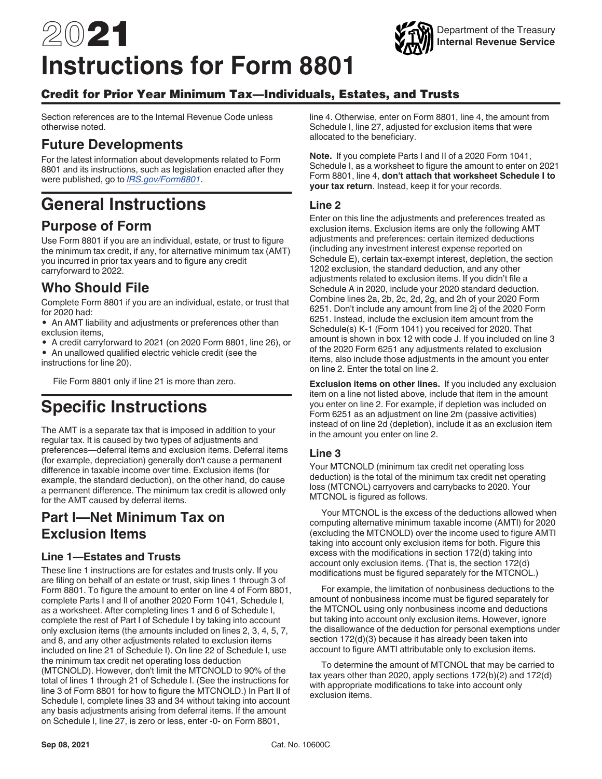# 2021 **Instructions for Form 8801**

### Credit for Prior Year Minimum Tax—Individuals, Estates, and Trusts

Section references are to the Internal Revenue Code unless otherwise noted.

# **Future Developments**

For the latest information about developments related to Form 8801 and its instructions, such as legislation enacted after they were published, go to *[IRS.gov/Form8801](https://www.irs.gov/form8801)*.

# **General Instructions**

# **Purpose of Form**

Use Form 8801 if you are an individual, estate, or trust to figure the minimum tax credit, if any, for alternative minimum tax (AMT) you incurred in prior tax years and to figure any credit carryforward to 2022.

# **Who Should File**

Complete Form 8801 if you are an individual, estate, or trust that for 2020 had:

• An AMT liability and adjustments or preferences other than exclusion items,

• A credit carryforward to 2021 (on 2020 Form 8801, line 26), or

• An unallowed qualified electric vehicle credit (see the instructions for line 20).

File Form 8801 only if line 21 is more than zero.

# **Specific Instructions**

The AMT is a separate tax that is imposed in addition to your regular tax. It is caused by two types of adjustments and preferences—deferral items and exclusion items. Deferral items (for example, depreciation) generally don't cause a permanent difference in taxable income over time. Exclusion items (for example, the standard deduction), on the other hand, do cause a permanent difference. The minimum tax credit is allowed only for the AMT caused by deferral items.

# **Part I—Net Minimum Tax on Exclusion Items**

#### **Line 1—Estates and Trusts**

These line 1 instructions are for estates and trusts only. If you are filing on behalf of an estate or trust, skip lines 1 through 3 of Form 8801. To figure the amount to enter on line 4 of Form 8801, complete Parts I and II of another 2020 Form 1041, Schedule I, as a worksheet. After completing lines 1 and 6 of Schedule I, complete the rest of Part I of Schedule I by taking into account only exclusion items (the amounts included on lines 2, 3, 4, 5, 7, and 8, and any other adjustments related to exclusion items included on line 21 of Schedule I). On line 22 of Schedule I, use the minimum tax credit net operating loss deduction (MTCNOLD). However, don't limit the MTCNOLD to 90% of the total of lines 1 through 21 of Schedule I. (See the instructions for line 3 of Form 8801 for how to figure the MTCNOLD.) In Part II of Schedule I, complete lines 33 and 34 without taking into account any basis adjustments arising from deferral items. If the amount on Schedule I, line 27, is zero or less, enter -0- on Form 8801,

line 4. Otherwise, enter on Form 8801, line 4, the amount from Schedule I, line 27, adjusted for exclusion items that were allocated to the beneficiary.

**Note.** If you complete Parts I and II of a 2020 Form 1041, Schedule I, as a worksheet to figure the amount to enter on 2021 Form 8801, line 4, **don't attach that worksheet Schedule I to your tax return**. Instead, keep it for your records.

#### **Line 2**

Enter on this line the adjustments and preferences treated as exclusion items. Exclusion items are only the following AMT adjustments and preferences: certain itemized deductions (including any investment interest expense reported on Schedule E), certain tax-exempt interest, depletion, the section 1202 exclusion, the standard deduction, and any other adjustments related to exclusion items. If you didn't file a Schedule A in 2020, include your 2020 standard deduction. Combine lines 2a, 2b, 2c, 2d, 2g, and 2h of your 2020 Form 6251. Don't include any amount from line 2j of the 2020 Form 6251. Instead, include the exclusion item amount from the Schedule(s) K-1 (Form 1041) you received for 2020. That amount is shown in box 12 with code J. If you included on line 3 of the 2020 Form 6251 any adjustments related to exclusion items, also include those adjustments in the amount you enter on line 2. Enter the total on line 2.

**Exclusion items on other lines.** If you included any exclusion item on a line not listed above, include that item in the amount you enter on line 2. For example, if depletion was included on Form 6251 as an adjustment on line 2m (passive activities) instead of on line 2d (depletion), include it as an exclusion item in the amount you enter on line 2.

#### **Line 3**

Your MTCNOLD (minimum tax credit net operating loss deduction) is the total of the minimum tax credit net operating loss (MTCNOL) carryovers and carrybacks to 2020. Your MTCNOL is figured as follows.

Your MTCNOL is the excess of the deductions allowed when computing alternative minimum taxable income (AMTI) for 2020 (excluding the MTCNOLD) over the income used to figure AMTI taking into account only exclusion items for both. Figure this excess with the modifications in section 172(d) taking into account only exclusion items. (That is, the section 172(d) modifications must be figured separately for the MTCNOL.)

For example, the limitation of nonbusiness deductions to the amount of nonbusiness income must be figured separately for the MTCNOL using only nonbusiness income and deductions but taking into account only exclusion items. However, ignore the disallowance of the deduction for personal exemptions under section 172(d)(3) because it has already been taken into account to figure AMTI attributable only to exclusion items.

To determine the amount of MTCNOL that may be carried to tax years other than 2020, apply sections 172(b)(2) and 172(d) with appropriate modifications to take into account only exclusion items.

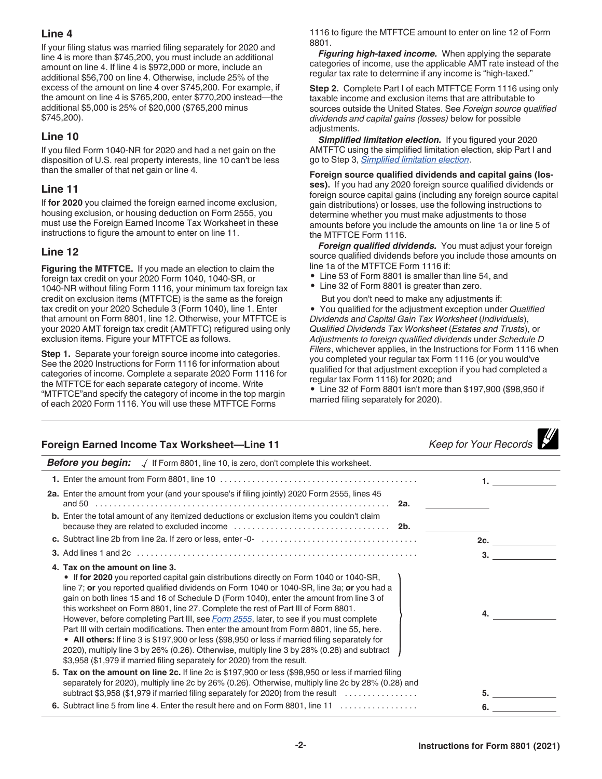#### **Line 4**

If your filing status was married filing separately for 2020 and line 4 is more than \$745,200, you must include an additional amount on line 4. If line 4 is \$972,000 or more, include an additional \$56,700 on line 4. Otherwise, include 25% of the excess of the amount on line 4 over \$745,200. For example, if the amount on line 4 is \$765,200, enter \$770,200 instead—the additional \$5,000 is 25% of \$20,000 (\$765,200 minus \$745,200).

#### **Line 10**

If you filed Form 1040-NR for 2020 and had a net gain on the disposition of U.S. real property interests, line 10 can't be less than the smaller of that net gain or line 4.

#### **Line 11**

If **for 2020** you claimed the foreign earned income exclusion, housing exclusion, or housing deduction on Form 2555, you must use the Foreign Earned Income Tax Worksheet in these instructions to figure the amount to enter on line 11.

#### **Line 12**

**Figuring the MTFTCE.** If you made an election to claim the foreign tax credit on your 2020 Form 1040, 1040-SR, or 1040-NR without filing Form 1116, your minimum tax foreign tax credit on exclusion items (MTFTCE) is the same as the foreign tax credit on your 2020 Schedule 3 (Form 1040), line 1. Enter that amount on Form 8801, line 12. Otherwise, your MTFTCE is your 2020 AMT foreign tax credit (AMTFTC) refigured using only exclusion items. Figure your MTFTCE as follows.

**Step 1.** Separate your foreign source income into categories. See the 2020 Instructions for Form 1116 for information about categories of income. Complete a separate 2020 Form 1116 for the MTFTCE for each separate category of income. Write "MTFTCE"and specify the category of income in the top margin of each 2020 Form 1116. You will use these MTFTCE Forms

1116 to figure the MTFTCE amount to enter on line 12 of Form 8801.

*Figuring high-taxed income.* When applying the separate categories of income, use the applicable AMT rate instead of the regular tax rate to determine if any income is "high-taxed."

**Step 2.** Complete Part I of each MTFTCE Form 1116 using only taxable income and exclusion items that are attributable to sources outside the United States. See *Foreign source qualified dividends and capital gains (losses)* below for possible adjustments.

**Simplified limitation election.** If you figured your 2020 AMTFTC using the simplified limitation election, skip Part I and go to Step 3, *Simplified limitation election*.

**Foreign source qualified dividends and capital gains (losses).** If you had any 2020 foreign source qualified dividends or foreign source capital gains (including any foreign source capital gain distributions) or losses, use the following instructions to determine whether you must make adjustments to those amounts before you include the amounts on line 1a or line 5 of the MTFTCE Form 1116.

*Foreign qualified dividends.* You must adjust your foreign source qualified dividends before you include those amounts on line 1a of the MTFTCE Form 1116 if:

- Line 53 of Form 8801 is smaller than line 54, and
- Line 32 of Form 8801 is greater than zero.

But you don't need to make any adjustments if:

• You qualified for the adjustment exception under *Qualified Dividends and Capital Gain Tax Worksheet* (*Individuals*), *Qualified Dividends Tax Worksheet* (*Estates and Trusts*), or *Adjustments to foreign qualified dividends* under *Schedule D Filers*, whichever applies, in the Instructions for Form 1116 when you completed your regular tax Form 1116 (or you would've qualified for that adjustment exception if you had completed a regular tax Form 1116) for 2020; and

• Line 32 of Form 8801 isn't more than \$197,900 (\$98,950 if married filing separately for 2020).

| Foreign Earned Income Tax Worksheet-Line 11                                                                                                                                                                                                                                                                                                                                                                                                                                                                                                                                                                                                                                                                                                                                                                                                                                           | <b>Keep for Your Records</b> |
|---------------------------------------------------------------------------------------------------------------------------------------------------------------------------------------------------------------------------------------------------------------------------------------------------------------------------------------------------------------------------------------------------------------------------------------------------------------------------------------------------------------------------------------------------------------------------------------------------------------------------------------------------------------------------------------------------------------------------------------------------------------------------------------------------------------------------------------------------------------------------------------|------------------------------|
| <b>Before you begin:</b> $\sqrt{ }$ If Form 8801, line 10, is zero, don't complete this worksheet.                                                                                                                                                                                                                                                                                                                                                                                                                                                                                                                                                                                                                                                                                                                                                                                    |                              |
|                                                                                                                                                                                                                                                                                                                                                                                                                                                                                                                                                                                                                                                                                                                                                                                                                                                                                       |                              |
| 2a. Enter the amount from your (and your spouse's if filing jointly) 2020 Form 2555, lines 45                                                                                                                                                                                                                                                                                                                                                                                                                                                                                                                                                                                                                                                                                                                                                                                         |                              |
| b. Enter the total amount of any itemized deductions or exclusion items you couldn't claim                                                                                                                                                                                                                                                                                                                                                                                                                                                                                                                                                                                                                                                                                                                                                                                            |                              |
|                                                                                                                                                                                                                                                                                                                                                                                                                                                                                                                                                                                                                                                                                                                                                                                                                                                                                       |                              |
|                                                                                                                                                                                                                                                                                                                                                                                                                                                                                                                                                                                                                                                                                                                                                                                                                                                                                       | 3.                           |
| 4. Tax on the amount on line 3.<br>• If for 2020 you reported capital gain distributions directly on Form 1040 or 1040-SR,<br>line 7; or you reported qualified dividends on Form 1040 or 1040-SR, line 3a; or you had a<br>gain on both lines 15 and 16 of Schedule D (Form 1040), enter the amount from line 3 of<br>this worksheet on Form 8801, line 27. Complete the rest of Part III of Form 8801.<br>However, before completing Part III, see <i>Form 2555</i> , later, to see if you must complete<br>Part III with certain modifications. Then enter the amount from Form 8801, line 55, here.<br>• All others: If line 3 is \$197,900 or less (\$98,950 or less if married filing separately for<br>2020), multiply line 3 by 26% (0.26). Otherwise, multiply line 3 by 28% (0.28) and subtract<br>\$3,958 (\$1,979 if married filing separately for 2020) from the result. | 4.                           |
| 5. Tax on the amount on line 2c. If line 2c is \$197,900 or less (\$98,950 or less if married filing<br>separately for 2020), multiply line 2c by 26% (0.26). Otherwise, multiply line 2c by 28% (0.28) and<br>subtract \$3,958 (\$1,979 if married filing separately for 2020) from the result                                                                                                                                                                                                                                                                                                                                                                                                                                                                                                                                                                                       |                              |
| 6. Subtract line 5 from line 4. Enter the result here and on Form 8801, line 11                                                                                                                                                                                                                                                                                                                                                                                                                                                                                                                                                                                                                                                                                                                                                                                                       | 6.                           |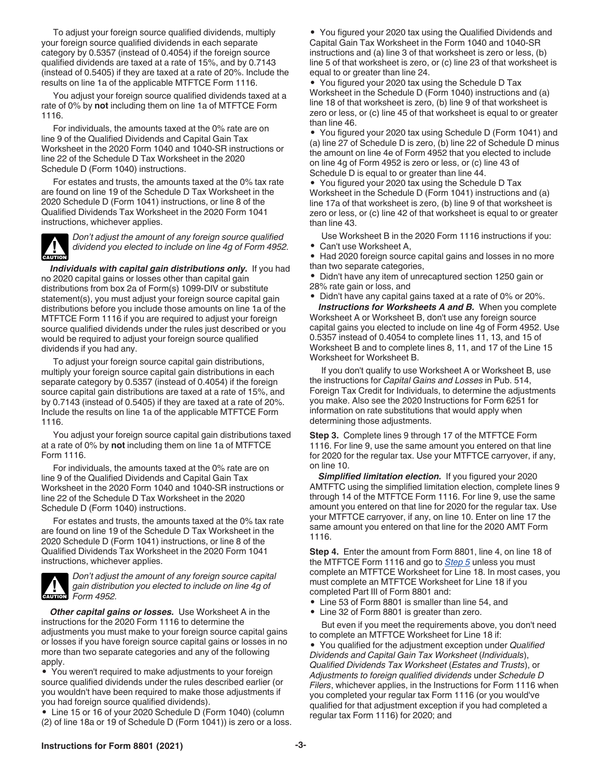To adjust your foreign source qualified dividends, multiply your foreign source qualified dividends in each separate category by 0.5357 (instead of 0.4054) if the foreign source qualified dividends are taxed at a rate of 15%, and by 0.7143 (instead of 0.5405) if they are taxed at a rate of 20%. Include the results on line 1a of the applicable MTFTCE Form 1116.

You adjust your foreign source qualified dividends taxed at a rate of 0% by **not** including them on line 1a of MTFTCE Form 1116.

For individuals, the amounts taxed at the 0% rate are on line 9 of the Qualified Dividends and Capital Gain Tax Worksheet in the 2020 Form 1040 and 1040-SR instructions or line 22 of the Schedule D Tax Worksheet in the 2020 Schedule D (Form 1040) instructions.

For estates and trusts, the amounts taxed at the 0% tax rate are found on line 19 of the Schedule D Tax Worksheet in the 2020 Schedule D (Form 1041) instructions, or line 8 of the Qualified Dividends Tax Worksheet in the 2020 Form 1041 instructions, whichever applies.



*Don't adjust the amount of any foreign source qualified dividend you elected to include on line 4g of Form 4952.*

*Individuals with capital gain distributions only.* If you had no 2020 capital gains or losses other than capital gain distributions from box 2a of Form(s) 1099-DIV or substitute statement(s), you must adjust your foreign source capital gain distributions before you include those amounts on line 1a of the MTFTCE Form 1116 if you are required to adjust your foreign source qualified dividends under the rules just described or you would be required to adjust your foreign source qualified dividends if you had any.

To adjust your foreign source capital gain distributions, multiply your foreign source capital gain distributions in each separate category by 0.5357 (instead of 0.4054) if the foreign source capital gain distributions are taxed at a rate of 15%, and by 0.7143 (instead of 0.5405) if they are taxed at a rate of 20%. Include the results on line 1a of the applicable MTFTCE Form 1116.

You adjust your foreign source capital gain distributions taxed at a rate of 0% by **not** including them on line 1a of MTFTCE Form 1116.

For individuals, the amounts taxed at the 0% rate are on line 9 of the Qualified Dividends and Capital Gain Tax Worksheet in the 2020 Form 1040 and 1040-SR instructions or line 22 of the Schedule D Tax Worksheet in the 2020 Schedule D (Form 1040) instructions.

For estates and trusts, the amounts taxed at the 0% tax rate are found on line 19 of the Schedule D Tax Worksheet in the 2020 Schedule D (Form 1041) instructions, or line 8 of the Qualified Dividends Tax Worksheet in the 2020 Form 1041 instructions, whichever applies.



*Don't adjust the amount of any foreign source capital gain distribution you elected to include on line 4g of Form 4952.* **CAUTION**

*Other capital gains or losses.* Use Worksheet A in the instructions for the 2020 Form 1116 to determine the adjustments you must make to your foreign source capital gains or losses if you have foreign source capital gains or losses in no more than two separate categories and any of the following apply.

• You weren't required to make adjustments to your foreign source qualified dividends under the rules described earlier (or you wouldn't have been required to make those adjustments if you had foreign source qualified dividends).

• Line 15 or 16 of your 2020 Schedule D (Form 1040) (column (2) of line 18a or 19 of Schedule D (Form 1041)) is zero or a loss.

• You figured your 2020 tax using the Qualified Dividends and Capital Gain Tax Worksheet in the Form 1040 and 1040-SR instructions and (a) line 3 of that worksheet is zero or less, (b) line 5 of that worksheet is zero, or (c) line 23 of that worksheet is equal to or greater than line 24.

• You figured your 2020 tax using the Schedule D Tax Worksheet in the Schedule D (Form 1040) instructions and (a) line 18 of that worksheet is zero, (b) line 9 of that worksheet is zero or less, or (c) line 45 of that worksheet is equal to or greater than line 46.

• You figured your 2020 tax using Schedule D (Form 1041) and (a) line 27 of Schedule D is zero, (b) line 22 of Schedule D minus the amount on line 4e of Form 4952 that you elected to include on line 4g of Form 4952 is zero or less, or (c) line 43 of Schedule D is equal to or greater than line 44.

• You figured your 2020 tax using the Schedule D Tax Worksheet in the Schedule D (Form 1041) instructions and (a) line 17a of that worksheet is zero, (b) line 9 of that worksheet is zero or less, or (c) line 42 of that worksheet is equal to or greater than line 43.

Use Worksheet B in the 2020 Form 1116 instructions if you:

• Can't use Worksheet A,

• Had 2020 foreign source capital gains and losses in no more than two separate categories,

• Didn't have any item of unrecaptured section 1250 gain or 28% rate gain or loss, and

• Didn't have any capital gains taxed at a rate of 0% or 20%. *Instructions for Worksheets A and B.* When you complete Worksheet A or Worksheet B, don't use any foreign source capital gains you elected to include on line 4g of Form 4952. Use 0.5357 instead of 0.4054 to complete lines 11, 13, and 15 of Worksheet B and to complete lines 8, 11, and 17 of the Line 15 Worksheet for Worksheet B.

If you don't qualify to use Worksheet A or Worksheet B, use the instructions for *Capital Gains and Losses* in Pub. 514, Foreign Tax Credit for Individuals, to determine the adjustments you make. Also see the 2020 Instructions for Form 6251 for information on rate substitutions that would apply when determining those adjustments.

**Step 3.** Complete lines 9 through 17 of the MTFTCE Form 1116. For line 9, use the same amount you entered on that line for 2020 for the regular tax. Use your MTFTCE carryover, if any, on line 10.

**Simplified limitation election.** If you figured your 2020 AMTFTC using the simplified limitation election, complete lines 9 through 14 of the MTFTCE Form 1116. For line 9, use the same amount you entered on that line for 2020 for the regular tax. Use your MTFTCE carryover, if any, on line 10. Enter on line 17 the same amount you entered on that line for the 2020 AMT Form 1116.

**Step 4.** Enter the amount from Form 8801, line 4, on line 18 of the MTFTCE Form 1116 and go to *Step 5* unless you must complete an MTFTCE Worksheet for Line 18. In most cases, you must complete an MTFTCE Worksheet for Line 18 if you completed Part III of Form 8801 and:

- Line 53 of Form 8801 is smaller than line 54, and
- Line 32 of Form 8801 is greater than zero.

But even if you meet the requirements above, you don't need to complete an MTFTCE Worksheet for Line 18 if:

• You qualified for the adjustment exception under *Qualified Dividends and Capital Gain Tax Worksheet* (*Individuals*), *Qualified Dividends Tax Worksheet* (*Estates and Trusts*), or *Adjustments to foreign qualified dividends* under *Schedule D Filers*, whichever applies, in the Instructions for Form 1116 when you completed your regular tax Form 1116 (or you would've qualified for that adjustment exception if you had completed a regular tax Form 1116) for 2020; and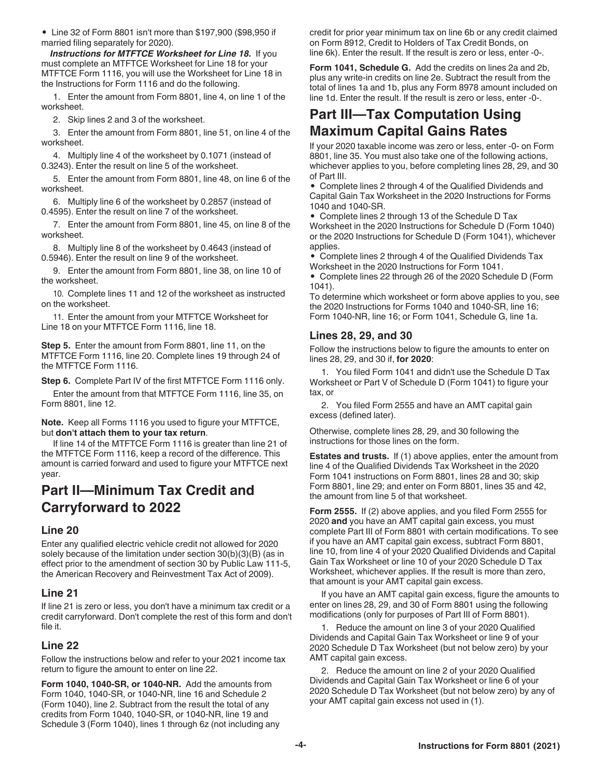• Line 32 of Form 8801 isn't more than \$197,900 (\$98,950 if married filing separately for 2020).

*Instructions for MTFTCE Worksheet for Line 18.* If you must complete an MTFTCE Worksheet for Line 18 for your MTFTCE Form 1116, you will use the Worksheet for Line 18 in the Instructions for Form 1116 and do the following.

1. Enter the amount from Form 8801, line 4, on line 1 of the worksheet.

2. Skip lines 2 and 3 of the worksheet.

3. Enter the amount from Form 8801, line 51, on line 4 of the worksheet.

4. Multiply line 4 of the worksheet by 0.1071 (instead of 0.3243). Enter the result on line 5 of the worksheet.

5. Enter the amount from Form 8801, line 48, on line 6 of the worksheet.

6. Multiply line 6 of the worksheet by 0.2857 (instead of 0.4595). Enter the result on line 7 of the worksheet.

7. Enter the amount from Form 8801, line 45, on line 8 of the worksheet.

8. Multiply line 8 of the worksheet by 0.4643 (instead of 0.5946). Enter the result on line 9 of the worksheet.

9. Enter the amount from Form 8801, line 38, on line 10 of the worksheet.

10. Complete lines 11 and 12 of the worksheet as instructed on the worksheet.

11. Enter the amount from your MTFTCE Worksheet for Line 18 on your MTFTCE Form 1116, line 18.

**Step 5.** Enter the amount from Form 8801, line 11, on the MTFTCE Form 1116, line 20. Complete lines 19 through 24 of the MTFTCE Form 1116.

**Step 6.** Complete Part IV of the first MTFTCE Form 1116 only.

Enter the amount from that MTFTCE Form 1116, line 35, on Form 8801, line 12.

**Note.** Keep all Forms 1116 you used to figure your MTFTCE, but **don't attach them to your tax return**.

If line 14 of the MTFTCE Form 1116 is greater than line 21 of the MTFTCE Form 1116, keep a record of the difference. This amount is carried forward and used to figure your MTFTCE next year.

# **Part II—Minimum Tax Credit and Carryforward to 2022**

#### **Line 20**

Enter any qualified electric vehicle credit not allowed for 2020 solely because of the limitation under section 30(b)(3)(B) (as in effect prior to the amendment of section 30 by Public Law 111-5, the American Recovery and Reinvestment Tax Act of 2009).

#### **Line 21**

If line 21 is zero or less, you don't have a minimum tax credit or a credit carryforward. Don't complete the rest of this form and don't file it.

#### **Line 22**

Follow the instructions below and refer to your 2021 income tax return to figure the amount to enter on line 22.

**Form 1040, 1040-SR, or 1040-NR.** Add the amounts from Form 1040, 1040-SR, or 1040-NR, line 16 and Schedule 2 (Form 1040), line 2. Subtract from the result the total of any credits from Form 1040, 1040-SR, or 1040-NR, line 19 and Schedule 3 (Form 1040), lines 1 through 6z (not including any credit for prior year minimum tax on line 6b or any credit claimed on Form 8912, Credit to Holders of Tax Credit Bonds, on line 6k). Enter the result. If the result is zero or less, enter -0-.

**Form 1041, Schedule G.** Add the credits on lines 2a and 2b, plus any write-in credits on line 2e. Subtract the result from the total of lines 1a and 1b, plus any Form 8978 amount included on line 1d. Enter the result. If the result is zero or less, enter -0-.

# **Part III—Tax Computation Using Maximum Capital Gains Rates**

If your 2020 taxable income was zero or less, enter -0- on Form 8801, line 35. You must also take one of the following actions, whichever applies to you, before completing lines 28, 29, and 30 of Part III.

• Complete lines 2 through 4 of the Qualified Dividends and Capital Gain Tax Worksheet in the 2020 Instructions for Forms 1040 and 1040-SR.

• Complete lines 2 through 13 of the Schedule D Tax Worksheet in the 2020 Instructions for Schedule D (Form 1040) or the 2020 Instructions for Schedule D (Form 1041), whichever applies.

• Complete lines 2 through 4 of the Qualified Dividends Tax Worksheet in the 2020 Instructions for Form 1041.

• Complete lines 22 through 26 of the 2020 Schedule D (Form 1041).

To determine which worksheet or form above applies to you, see the 2020 Instructions for Forms 1040 and 1040-SR, line 16; Form 1040-NR, line 16; or Form 1041, Schedule G, line 1a.

#### **Lines 28, 29, and 30**

Follow the instructions below to figure the amounts to enter on lines 28, 29, and 30 if, **for 2020**:

1. You filed Form 1041 and didn't use the Schedule D Tax Worksheet or Part V of Schedule D (Form 1041) to figure your tax, or

2. You filed Form 2555 and have an AMT capital gain excess (defined later).

Otherwise, complete lines 28, 29, and 30 following the instructions for those lines on the form.

**Estates and trusts.** If (1) above applies, enter the amount from line 4 of the Qualified Dividends Tax Worksheet in the 2020 Form 1041 instructions on Form 8801, lines 28 and 30; skip Form 8801, line 29; and enter on Form 8801, lines 35 and 42, the amount from line 5 of that worksheet.

**Form 2555.** If (2) above applies, and you filed Form 2555 for 2020 **and** you have an AMT capital gain excess, you must complete Part III of Form 8801 with certain modifications. To see if you have an AMT capital gain excess, subtract Form 8801, line 10, from line 4 of your 2020 Qualified Dividends and Capital Gain Tax Worksheet or line 10 of your 2020 Schedule D Tax Worksheet, whichever applies. If the result is more than zero, that amount is your AMT capital gain excess.

If you have an AMT capital gain excess, figure the amounts to enter on lines 28, 29, and 30 of Form 8801 using the following modifications (only for purposes of Part III of Form 8801).

1. Reduce the amount on line 3 of your 2020 Qualified Dividends and Capital Gain Tax Worksheet or line 9 of your 2020 Schedule D Tax Worksheet (but not below zero) by your AMT capital gain excess.

2. Reduce the amount on line 2 of your 2020 Qualified Dividends and Capital Gain Tax Worksheet or line 6 of your 2020 Schedule D Tax Worksheet (but not below zero) by any of your AMT capital gain excess not used in (1).